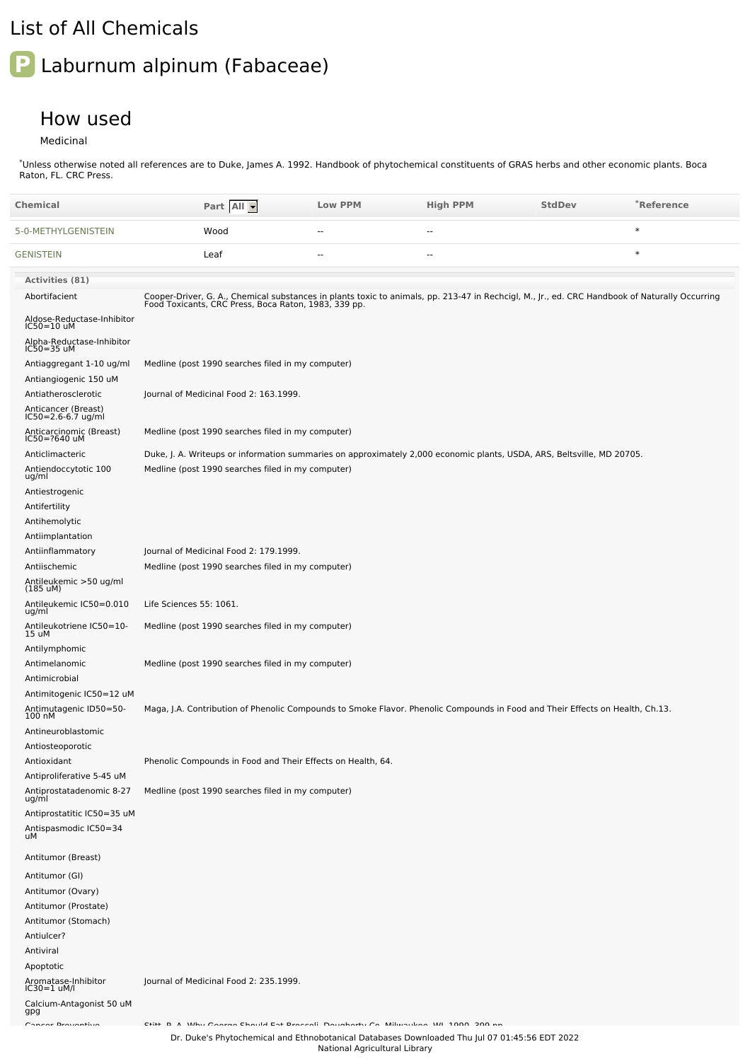## List of All Chemicals

## **P** Laburnum alpinum (Fabaceae)

## How used

## Medicinal

\*Unless otherwise noted all references are to Duke, James A. 1992. Handbook of phytochemical constituents of GRAS herbs and other economic plants. Boca Raton, FL. CRC Press.

| <b>Chemical</b>                                       |                                                             | Part All | <b>Low PPM</b>                                                                         | <b>High PPM</b>                                                                                                                                                                                        | <b>StdDev</b> | *Reference |
|-------------------------------------------------------|-------------------------------------------------------------|----------|----------------------------------------------------------------------------------------|--------------------------------------------------------------------------------------------------------------------------------------------------------------------------------------------------------|---------------|------------|
| 5-0-METHYLGENISTEIN                                   | Wood                                                        |          | $\sim$ $\sim$                                                                          | $\sim$ $\sim$                                                                                                                                                                                          |               | $\ast$     |
| <b>GENISTEIN</b>                                      | Leaf                                                        |          | ٠.                                                                                     | ٠.                                                                                                                                                                                                     |               | $\ast$     |
| Activities (81)                                       |                                                             |          |                                                                                        |                                                                                                                                                                                                        |               |            |
| Abortifacient                                         |                                                             |          |                                                                                        | Cooper-Driver, G. A., Chemical substances in plants toxic to animals, pp. 213-47 in Rechcigl, M., Jr., ed. CRC Handbook of Naturally Occurring<br>Food Toxicants, CRC Press, Boca Raton, 1983, 339 pp. |               |            |
| Aldose-Reductase-Inhibitor<br>$IC50=10$ uM            |                                                             |          |                                                                                        |                                                                                                                                                                                                        |               |            |
| Alpha-Reductase-Inhibitor<br>IC50=35 uM               |                                                             |          |                                                                                        |                                                                                                                                                                                                        |               |            |
| Antiaggregant 1-10 ug/ml                              | Medline (post 1990 searches filed in my computer)           |          |                                                                                        |                                                                                                                                                                                                        |               |            |
| Antiangiogenic 150 uM                                 |                                                             |          |                                                                                        |                                                                                                                                                                                                        |               |            |
| Antiatherosclerotic                                   | Journal of Medicinal Food 2: 163.1999.                      |          |                                                                                        |                                                                                                                                                                                                        |               |            |
| Anticancer (Breast)<br>IC50=2.6-6.7 ug/ml             |                                                             |          |                                                                                        |                                                                                                                                                                                                        |               |            |
| Anticarcinomic (Breast)<br>IC50=?640 uM               | Medline (post 1990 searches filed in my computer)           |          |                                                                                        |                                                                                                                                                                                                        |               |            |
| Anticlimacteric                                       |                                                             |          |                                                                                        | Duke, J. A. Writeups or information summaries on approximately 2,000 economic plants, USDA, ARS, Beltsville, MD 20705.                                                                                 |               |            |
| Antiendoccytotic 100<br>ug/ml                         | Medline (post 1990 searches filed in my computer)           |          |                                                                                        |                                                                                                                                                                                                        |               |            |
| Antiestrogenic<br>Antifertility                       |                                                             |          |                                                                                        |                                                                                                                                                                                                        |               |            |
| Antihemolytic                                         |                                                             |          |                                                                                        |                                                                                                                                                                                                        |               |            |
| Antiimplantation                                      |                                                             |          |                                                                                        |                                                                                                                                                                                                        |               |            |
| Antiinflammatory                                      | Journal of Medicinal Food 2: 179.1999.                      |          |                                                                                        |                                                                                                                                                                                                        |               |            |
| Antiischemic                                          | Medline (post 1990 searches filed in my computer)           |          |                                                                                        |                                                                                                                                                                                                        |               |            |
| Antileukemic >50 ug/ml<br>$(185 \text{ uM})$          |                                                             |          |                                                                                        |                                                                                                                                                                                                        |               |            |
| Antileukemic IC50=0.010<br>ug/ml                      | Life Sciences 55: 1061.                                     |          |                                                                                        |                                                                                                                                                                                                        |               |            |
| Antileukotriene IC50=10-<br>15 uM                     | Medline (post 1990 searches filed in my computer)           |          |                                                                                        |                                                                                                                                                                                                        |               |            |
| Antilymphomic                                         |                                                             |          |                                                                                        |                                                                                                                                                                                                        |               |            |
| Antimelanomic                                         | Medline (post 1990 searches filed in my computer)           |          |                                                                                        |                                                                                                                                                                                                        |               |            |
| Antimicrobial                                         |                                                             |          |                                                                                        |                                                                                                                                                                                                        |               |            |
| Antimitogenic IC50=12 uM                              |                                                             |          |                                                                                        |                                                                                                                                                                                                        |               |            |
| Antimutagenic ID50=50-<br>100 nM                      |                                                             |          |                                                                                        | Maga, J.A. Contribution of Phenolic Compounds to Smoke Flavor. Phenolic Compounds in Food and Their Effects on Health, Ch.13.                                                                          |               |            |
| Antineuroblastomic                                    |                                                             |          |                                                                                        |                                                                                                                                                                                                        |               |            |
| Antiosteoporotic                                      |                                                             |          |                                                                                        |                                                                                                                                                                                                        |               |            |
| Antioxidant                                           | Phenolic Compounds in Food and Their Effects on Health, 64. |          |                                                                                        |                                                                                                                                                                                                        |               |            |
| Antiproliferative 5-45 uM<br>Antiprostatadenomic 8-27 | Medline (post 1990 searches filed in my computer)           |          |                                                                                        |                                                                                                                                                                                                        |               |            |
| ug/ml<br>Antiprostatitic IC50=35 uM                   |                                                             |          |                                                                                        |                                                                                                                                                                                                        |               |            |
| Antispasmodic IC50=34<br>uМ                           |                                                             |          |                                                                                        |                                                                                                                                                                                                        |               |            |
| Antitumor (Breast)                                    |                                                             |          |                                                                                        |                                                                                                                                                                                                        |               |            |
| Antitumor (GI)                                        |                                                             |          |                                                                                        |                                                                                                                                                                                                        |               |            |
| Antitumor (Ovary)                                     |                                                             |          |                                                                                        |                                                                                                                                                                                                        |               |            |
| Antitumor (Prostate)                                  |                                                             |          |                                                                                        |                                                                                                                                                                                                        |               |            |
| Antitumor (Stomach)                                   |                                                             |          |                                                                                        |                                                                                                                                                                                                        |               |            |
| Antiulcer?                                            |                                                             |          |                                                                                        |                                                                                                                                                                                                        |               |            |
| Antiviral                                             |                                                             |          |                                                                                        |                                                                                                                                                                                                        |               |            |
| Apoptotic                                             |                                                             |          |                                                                                        |                                                                                                                                                                                                        |               |            |
| Aromatase-Inhibitor<br>$IC30=1$ uM/l                  | Journal of Medicinal Food 2: 235.1999.                      |          |                                                                                        |                                                                                                                                                                                                        |               |            |
| Calcium-Antagonist 50 uM<br>gpg                       |                                                             |          |                                                                                        |                                                                                                                                                                                                        |               |            |
| Concer Description                                    |                                                             |          | Citie D. A. Who Cannon Charlel Fat Desamble Davehauter Ca. Militarilean WI 1000 000 av |                                                                                                                                                                                                        |               |            |